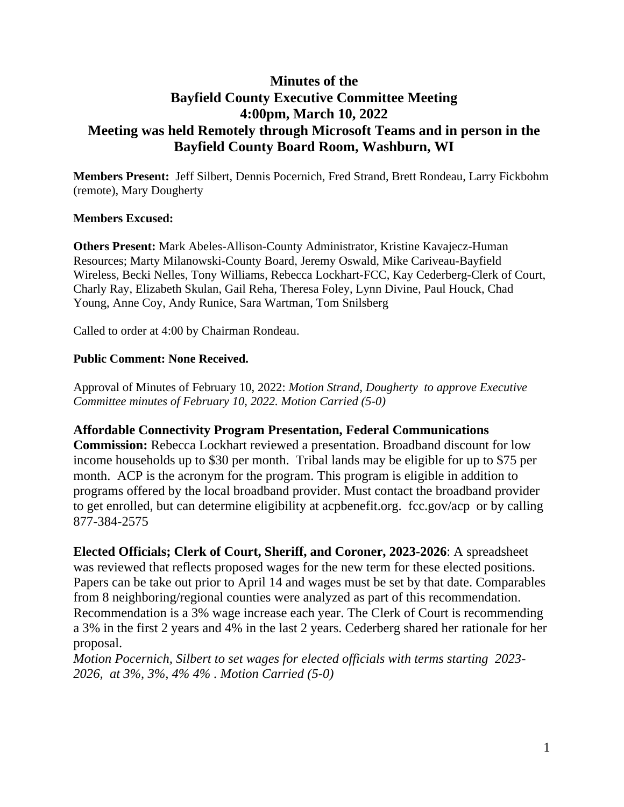# **Minutes of the Bayfield County Executive Committee Meeting 4:00pm, March 10, 2022 Meeting was held Remotely through Microsoft Teams and in person in the Bayfield County Board Room, Washburn, WI**

**Members Present:** Jeff Silbert, Dennis Pocernich, Fred Strand, Brett Rondeau, Larry Fickbohm (remote), Mary Dougherty

### **Members Excused:**

**Others Present:** Mark Abeles-Allison-County Administrator, Kristine Kavajecz-Human Resources; Marty Milanowski-County Board, Jeremy Oswald, Mike Cariveau-Bayfield Wireless, Becki Nelles, Tony Williams, Rebecca Lockhart-FCC, Kay Cederberg-Clerk of Court, Charly Ray, Elizabeth Skulan, Gail Reha, Theresa Foley, Lynn Divine, Paul Houck, Chad Young, Anne Coy, Andy Runice, Sara Wartman, Tom Snilsberg

Called to order at 4:00 by Chairman Rondeau.

### **Public Comment: None Received.**

Approval of Minutes of February 10, 2022: *Motion Strand, Dougherty to approve Executive Committee minutes of February 10, 2022. Motion Carried (5-0)*

### **Affordable Connectivity Program Presentation, Federal Communications**

**Commission:** Rebecca Lockhart reviewed a presentation. Broadband discount for low income households up to \$30 per month. Tribal lands may be eligible for up to \$75 per month. ACP is the acronym for the program. This program is eligible in addition to programs offered by the local broadband provider. Must contact the broadband provider to get enrolled, but can determine eligibility at acpbenefit.org. fcc.gov/acp or by calling 877-384-2575

**Elected Officials; Clerk of Court, Sheriff, and Coroner, 2023-2026**: A spreadsheet was reviewed that reflects proposed wages for the new term for these elected positions. Papers can be take out prior to April 14 and wages must be set by that date. Comparables from 8 neighboring/regional counties were analyzed as part of this recommendation. Recommendation is a 3% wage increase each year. The Clerk of Court is recommending a 3% in the first 2 years and 4% in the last 2 years. Cederberg shared her rationale for her proposal.

*Motion Pocernich, Silbert to set wages for elected officials with terms starting 2023- 2026, at 3%, 3%, 4% 4% . Motion Carried (5-0)*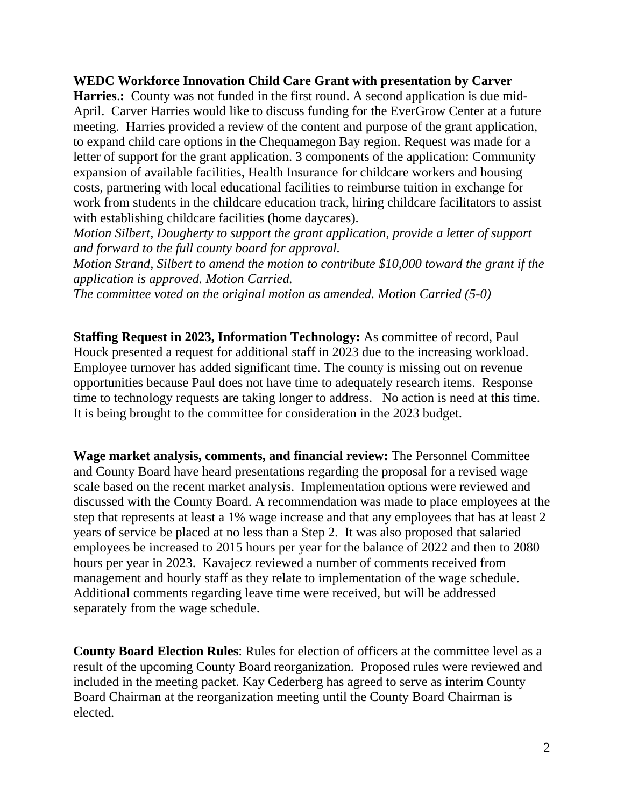## **WEDC Workforce Innovation Child Care Grant with presentation by Carver**

**Harries.:** County was not funded in the first round. A second application is due mid-April. Carver Harries would like to discuss funding for the EverGrow Center at a future meeting. Harries provided a review of the content and purpose of the grant application, to expand child care options in the Chequamegon Bay region. Request was made for a letter of support for the grant application. 3 components of the application: Community expansion of available facilities, Health Insurance for childcare workers and housing costs, partnering with local educational facilities to reimburse tuition in exchange for work from students in the childcare education track, hiring childcare facilitators to assist with establishing childcare facilities (home daycares).

*Motion Silbert, Dougherty to support the grant application, provide a letter of support and forward to the full county board for approval.*

*Motion Strand, Silbert to amend the motion to contribute \$10,000 toward the grant if the application is approved. Motion Carried.*

*The committee voted on the original motion as amended. Motion Carried (5-0)*

**Staffing Request in 2023, Information Technology:** As committee of record, Paul Houck presented a request for additional staff in 2023 due to the increasing workload. Employee turnover has added significant time. The county is missing out on revenue opportunities because Paul does not have time to adequately research items. Response time to technology requests are taking longer to address. No action is need at this time. It is being brought to the committee for consideration in the 2023 budget.

**Wage market analysis, comments, and financial review:** The Personnel Committee and County Board have heard presentations regarding the proposal for a revised wage scale based on the recent market analysis. Implementation options were reviewed and discussed with the County Board. A recommendation was made to place employees at the step that represents at least a 1% wage increase and that any employees that has at least 2 years of service be placed at no less than a Step 2. It was also proposed that salaried employees be increased to 2015 hours per year for the balance of 2022 and then to 2080 hours per year in 2023. Kavajecz reviewed a number of comments received from management and hourly staff as they relate to implementation of the wage schedule. Additional comments regarding leave time were received, but will be addressed separately from the wage schedule.

**County Board Election Rules**: Rules for election of officers at the committee level as a result of the upcoming County Board reorganization. Proposed rules were reviewed and included in the meeting packet. Kay Cederberg has agreed to serve as interim County Board Chairman at the reorganization meeting until the County Board Chairman is elected.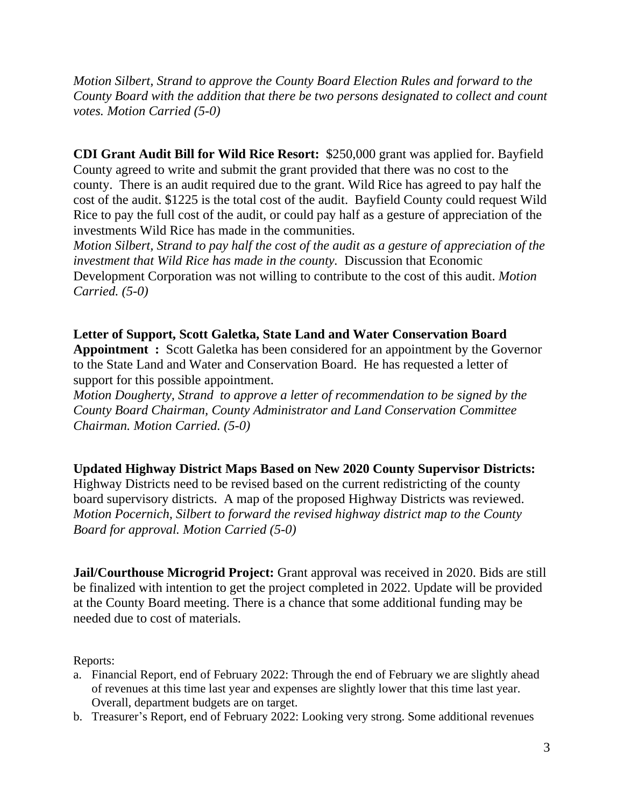*Motion Silbert, Strand to approve the County Board Election Rules and forward to the County Board with the addition that there be two persons designated to collect and count votes. Motion Carried (5-0)*

**CDI Grant Audit Bill for Wild Rice Resort:** \$250,000 grant was applied for. Bayfield County agreed to write and submit the grant provided that there was no cost to the county. There is an audit required due to the grant. Wild Rice has agreed to pay half the cost of the audit. \$1225 is the total cost of the audit. Bayfield County could request Wild Rice to pay the full cost of the audit, or could pay half as a gesture of appreciation of the investments Wild Rice has made in the communities.

*Motion Silbert, Strand to pay half the cost of the audit as a gesture of appreciation of the investment that Wild Rice has made in the county.* Discussion that Economic Development Corporation was not willing to contribute to the cost of this audit. *Motion Carried. (5-0)*

**Letter of Support, Scott Galetka, State Land and Water Conservation Board Appointment :** Scott Galetka has been considered for an appointment by the Governor to the State Land and Water and Conservation Board. He has requested a letter of support for this possible appointment.

*Motion Dougherty, Strand to approve a letter of recommendation to be signed by the County Board Chairman, County Administrator and Land Conservation Committee Chairman. Motion Carried. (5-0)*

**Updated Highway District Maps Based on New 2020 County Supervisor Districts:**

Highway Districts need to be revised based on the current redistricting of the county board supervisory districts. A map of the proposed Highway Districts was reviewed. *Motion Pocernich, Silbert to forward the revised highway district map to the County Board for approval. Motion Carried (5-0)*

**Jail/Courthouse Microgrid Project:** Grant approval was received in 2020. Bids are still be finalized with intention to get the project completed in 2022. Update will be provided at the County Board meeting. There is a chance that some additional funding may be needed due to cost of materials.

Reports:

- a. Financial Report, end of February 2022: Through the end of February we are slightly ahead of revenues at this time last year and expenses are slightly lower that this time last year. Overall, department budgets are on target.
- b. Treasurer's Report, end of February 2022: Looking very strong. Some additional revenues